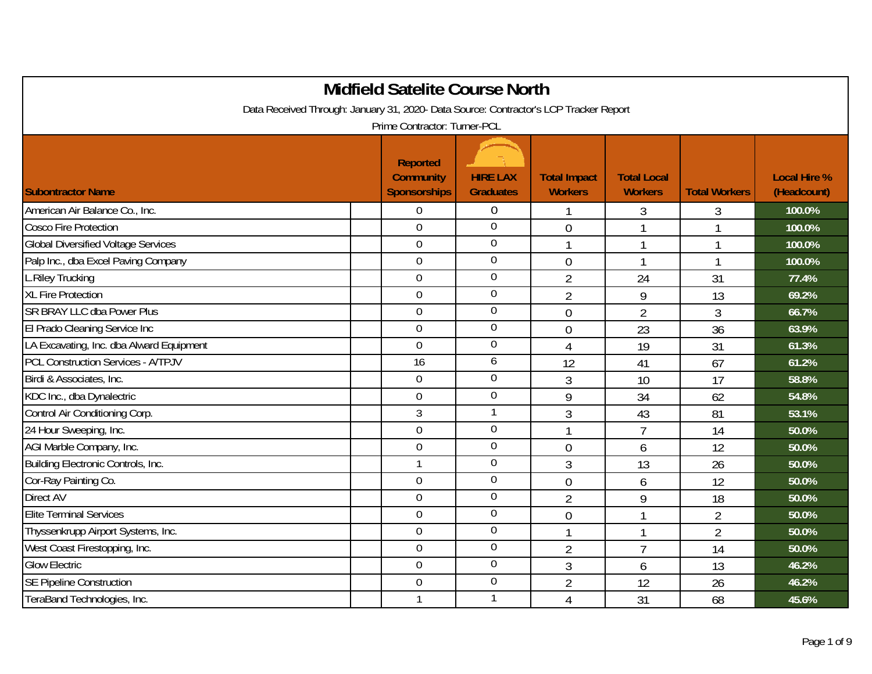|                                                                                       | <b>Midfield Satelite Course North</b>                      |                                     |                                       |                                      |                      |                                    |  |  |  |  |
|---------------------------------------------------------------------------------------|------------------------------------------------------------|-------------------------------------|---------------------------------------|--------------------------------------|----------------------|------------------------------------|--|--|--|--|
| Data Received Through: January 31, 2020- Data Source: Contractor's LCP Tracker Report |                                                            |                                     |                                       |                                      |                      |                                    |  |  |  |  |
| Prime Contractor: Turner-PCL                                                          |                                                            |                                     |                                       |                                      |                      |                                    |  |  |  |  |
| <b>Subontractor Name</b>                                                              | <b>Reported</b><br><b>Community</b><br><b>Sponsorships</b> | <b>HIRE LAX</b><br><b>Graduates</b> | <b>Total Impact</b><br><b>Workers</b> | <b>Total Local</b><br><b>Workers</b> | <b>Total Workers</b> | <b>Local Hire %</b><br>(Headcount) |  |  |  |  |
| American Air Balance Co., Inc.                                                        | $\Omega$                                                   | $\boldsymbol{0}$                    |                                       | 3                                    | 3                    | 100.0%                             |  |  |  |  |
| <b>Cosco Fire Protection</b>                                                          | $\overline{0}$                                             | $\overline{0}$                      | $\overline{0}$                        | 1                                    |                      | 100.0%                             |  |  |  |  |
| <b>Global Diversified Voltage Services</b>                                            | $\overline{0}$                                             | $\overline{0}$                      | 1                                     | 1                                    | 1                    | 100.0%                             |  |  |  |  |
| Palp Inc., dba Excel Paving Company                                                   | $\Omega$                                                   | $\overline{0}$                      | $\mathbf 0$                           | 1                                    | 1                    | 100.0%                             |  |  |  |  |
| <b>L.Riley Trucking</b>                                                               | $\mathbf 0$                                                | $\boldsymbol{0}$                    | $\overline{2}$                        | 24                                   | 31                   | 77.4%                              |  |  |  |  |
| <b>XL Fire Protection</b>                                                             | $\mathbf 0$                                                | $\boldsymbol{0}$                    | $\overline{2}$                        | 9                                    | 13                   | 69.2%                              |  |  |  |  |
| <b>SR BRAY LLC dba Power Plus</b>                                                     | $\overline{0}$                                             | $\overline{0}$                      | $\overline{0}$                        | $\overline{2}$                       | 3                    | 66.7%                              |  |  |  |  |
| El Prado Cleaning Service Inc                                                         | $\overline{0}$                                             | $\overline{0}$                      | $\mathbf 0$                           | 23                                   | 36                   | 63.9%                              |  |  |  |  |
| LA Excavating, Inc. dba Alward Equipment                                              | $\overline{0}$                                             | $\boldsymbol{0}$                    | $\overline{4}$                        | 19                                   | 31                   | 61.3%                              |  |  |  |  |
| <b>PCL Construction Services - A/TPJV</b>                                             | 16                                                         | 6                                   | 12                                    | 41                                   | 67                   | 61.2%                              |  |  |  |  |
| Birdi & Associates, Inc.                                                              | 0                                                          | $\mathbf 0$                         | $\mathfrak{Z}$                        | 10                                   | 17                   | 58.8%                              |  |  |  |  |
| KDC Inc., dba Dynalectric                                                             | $\overline{0}$                                             | $\boldsymbol{0}$                    | 9                                     | 34                                   | 62                   | 54.8%                              |  |  |  |  |
| Control Air Conditioning Corp.                                                        | $\overline{3}$                                             | $\mathbf{1}$                        | 3                                     | 43                                   | 81                   | 53.1%                              |  |  |  |  |
| 24 Hour Sweeping, Inc.                                                                | $\Omega$                                                   | $\mathbf 0$                         | 1                                     | $\overline{7}$                       | 14                   | 50.0%                              |  |  |  |  |
| AGI Marble Company, Inc.                                                              | $\overline{0}$                                             | $\overline{0}$                      | $\overline{0}$                        | 6                                    | 12                   | 50.0%                              |  |  |  |  |
| Building Electronic Controls, Inc.                                                    | $\mathbf{1}$                                               | $\overline{0}$                      | 3                                     | 13                                   | 26                   | 50.0%                              |  |  |  |  |
| Cor-Ray Painting Co.                                                                  | $\overline{0}$                                             | $\mathbf 0$                         | $\mathbf 0$                           | 6                                    | 12                   | 50.0%                              |  |  |  |  |
| <b>Direct AV</b>                                                                      | $\overline{0}$                                             | $\overline{0}$                      | $\overline{2}$                        | 9                                    | 18                   | 50.0%                              |  |  |  |  |
| <b>Elite Terminal Services</b>                                                        | $\overline{0}$                                             | $\boldsymbol{0}$                    | $\overline{0}$                        | 1                                    | $\overline{2}$       | 50.0%                              |  |  |  |  |
| Thyssenkrupp Airport Systems, Inc.                                                    | $\overline{0}$                                             | $\mathbf 0$                         |                                       | 1                                    | $\overline{2}$       | 50.0%                              |  |  |  |  |
| West Coast Firestopping, Inc.                                                         | $\Omega$                                                   | $\overline{0}$                      | $\overline{2}$                        | $\overline{1}$                       | 14                   | 50.0%                              |  |  |  |  |
| <b>Glow Electric</b>                                                                  | $\mathbf 0$                                                | $\overline{0}$                      | 3                                     | 6                                    | 13                   | 46.2%                              |  |  |  |  |
| <b>SE Pipeline Construction</b>                                                       | $\boldsymbol{0}$                                           | $\overline{0}$                      | $\overline{2}$                        | 12                                   | 26                   | 46.2%                              |  |  |  |  |
| TeraBand Technologies, Inc.                                                           |                                                            |                                     | 4                                     | 31                                   | 68                   | 45.6%                              |  |  |  |  |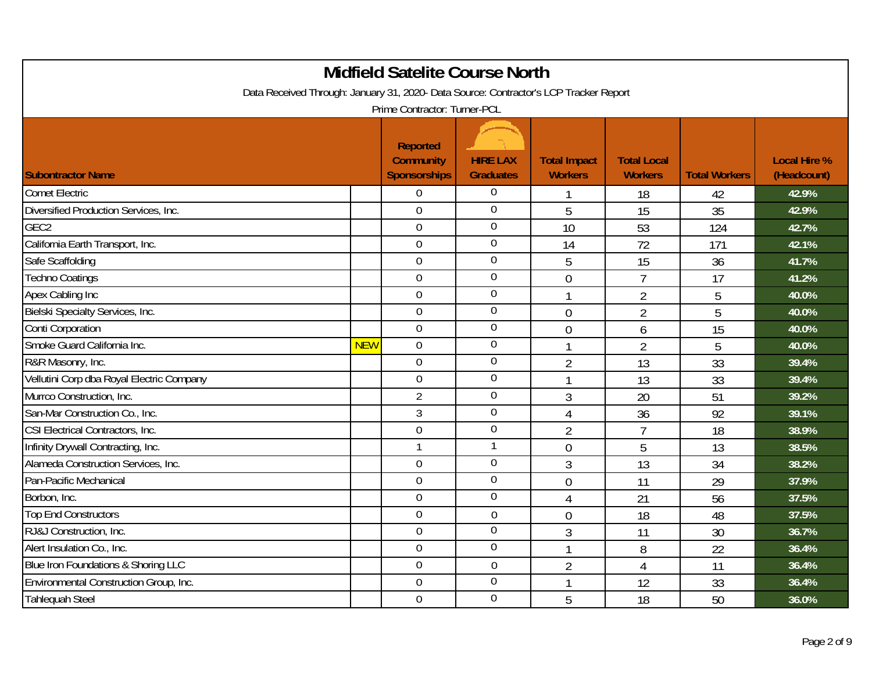| <b>Midfield Satelite Course North</b>                                                                                 |            |                                                            |                                     |                                       |                                      |                      |                                    |  |  |  |
|-----------------------------------------------------------------------------------------------------------------------|------------|------------------------------------------------------------|-------------------------------------|---------------------------------------|--------------------------------------|----------------------|------------------------------------|--|--|--|
| Data Received Through: January 31, 2020- Data Source: Contractor's LCP Tracker Report<br>Prime Contractor: Turner-PCL |            |                                                            |                                     |                                       |                                      |                      |                                    |  |  |  |
| <b>Subontractor Name</b>                                                                                              |            | <b>Reported</b><br><b>Community</b><br><b>Sponsorships</b> | <b>HIRE LAX</b><br><b>Graduates</b> | <b>Total Impact</b><br><b>Workers</b> | <b>Total Local</b><br><b>Workers</b> | <b>Total Workers</b> | <b>Local Hire %</b><br>(Headcount) |  |  |  |
| <b>Comet Electric</b>                                                                                                 |            | $\overline{0}$                                             | 0                                   | 1                                     | 18                                   | 42                   | 42.9%                              |  |  |  |
| Diversified Production Services, Inc.                                                                                 |            | $\overline{0}$                                             | $\overline{0}$                      | 5                                     | 15                                   | 35                   | 42.9%                              |  |  |  |
| GEC <sub>2</sub>                                                                                                      |            | $\mathbf 0$                                                | $\overline{0}$                      | 10                                    | 53                                   | 124                  | 42.7%                              |  |  |  |
| California Earth Transport, Inc.                                                                                      |            | $\mathbf 0$                                                | $\mathbf 0$                         | 14                                    | 72                                   | 171                  | 42.1%                              |  |  |  |
| Safe Scaffolding                                                                                                      |            | $\overline{0}$                                             | $\mathbf 0$                         | 5                                     | 15                                   | 36                   | 41.7%                              |  |  |  |
| <b>Techno Coatings</b>                                                                                                |            | $\overline{0}$                                             | $\mathbf 0$                         | $\overline{0}$                        | $\overline{7}$                       | 17                   | 41.2%                              |  |  |  |
| Apex Cabling Inc                                                                                                      |            | $\mathbf 0$                                                | $\mathbf 0$                         | $\mathbf{1}$                          | $\overline{2}$                       | 5                    | 40.0%                              |  |  |  |
| Bielski Specialty Services, Inc.                                                                                      |            | $\overline{0}$                                             | $\boldsymbol{0}$                    | $\overline{0}$                        | $\overline{2}$                       | 5                    | 40.0%                              |  |  |  |
| Conti Corporation                                                                                                     |            | $\overline{0}$                                             | $\mathbf 0$                         | $\overline{0}$                        | 6                                    | 15                   | 40.0%                              |  |  |  |
| Smoke Guard California Inc.                                                                                           | <b>NEW</b> | $\overline{0}$                                             | $\overline{0}$                      | $\mathbf{1}$                          | $\overline{2}$                       | 5                    | 40.0%                              |  |  |  |
| R&R Masonry, Inc.                                                                                                     |            | $\overline{0}$                                             | $\mathbf 0$                         | $\overline{2}$                        | 13                                   | 33                   | 39.4%                              |  |  |  |
| Vellutini Corp dba Royal Electric Company                                                                             |            | $\overline{0}$                                             | $\mathbf 0$                         | 1                                     | 13                                   | 33                   | 39.4%                              |  |  |  |
| Murrco Construction, Inc.                                                                                             |            | $\overline{2}$                                             | $\mathbf 0$                         | 3                                     | 20                                   | 51                   | 39.2%                              |  |  |  |
| San-Mar Construction Co., Inc.                                                                                        |            | 3                                                          | $\mathbf 0$                         | $\overline{4}$                        | 36                                   | 92                   | 39.1%                              |  |  |  |
| CSI Electrical Contractors, Inc.                                                                                      |            | $\overline{0}$                                             | $\boldsymbol{0}$                    | $\overline{2}$                        | $\overline{7}$                       | 18                   | 38.9%                              |  |  |  |
| Infinity Drywall Contracting, Inc.                                                                                    |            | $\mathbf{1}$                                               | 1                                   | $\overline{0}$                        | 5                                    | 13                   | 38.5%                              |  |  |  |
| Alameda Construction Services, Inc.                                                                                   |            | $\overline{0}$                                             | $\overline{0}$                      | $\overline{3}$                        | 13                                   | 34                   | 38.2%                              |  |  |  |
| Pan-Pacific Mechanical                                                                                                |            | $\mathbf 0$                                                | $\mathbf 0$                         | $\overline{0}$                        | 11                                   | 29                   | 37.9%                              |  |  |  |
| Borbon, Inc.                                                                                                          |            | $\overline{0}$                                             | $\mathbf 0$                         | $\overline{4}$                        | 21                                   | 56                   | 37.5%                              |  |  |  |
| Top End Constructors                                                                                                  |            | $\overline{0}$                                             | $\overline{0}$                      | $\overline{0}$                        | 18                                   | 48                   | 37.5%                              |  |  |  |
| RJ&J Construction, Inc.                                                                                               |            | $\overline{0}$                                             | $\mathbf 0$                         | 3                                     | 11                                   | 30                   | 36.7%                              |  |  |  |
| Alert Insulation Co., Inc.                                                                                            |            | $\overline{0}$                                             | $\mathbf 0$                         | $\mathbf{1}$                          | 8                                    | 22                   | 36.4%                              |  |  |  |
| Blue Iron Foundations & Shoring LLC                                                                                   |            | $\overline{0}$                                             | $\overline{0}$                      | $\overline{2}$                        | $\overline{4}$                       | 11                   | 36.4%                              |  |  |  |
| Environmental Construction Group, Inc.                                                                                |            | $\overline{0}$                                             | $\overline{0}$                      | 1                                     | 12                                   | 33                   | 36.4%                              |  |  |  |
| <b>Tahlequah Steel</b>                                                                                                |            | $\overline{0}$                                             | $\overline{0}$                      | 5                                     | 18                                   | 50                   | 36.0%                              |  |  |  |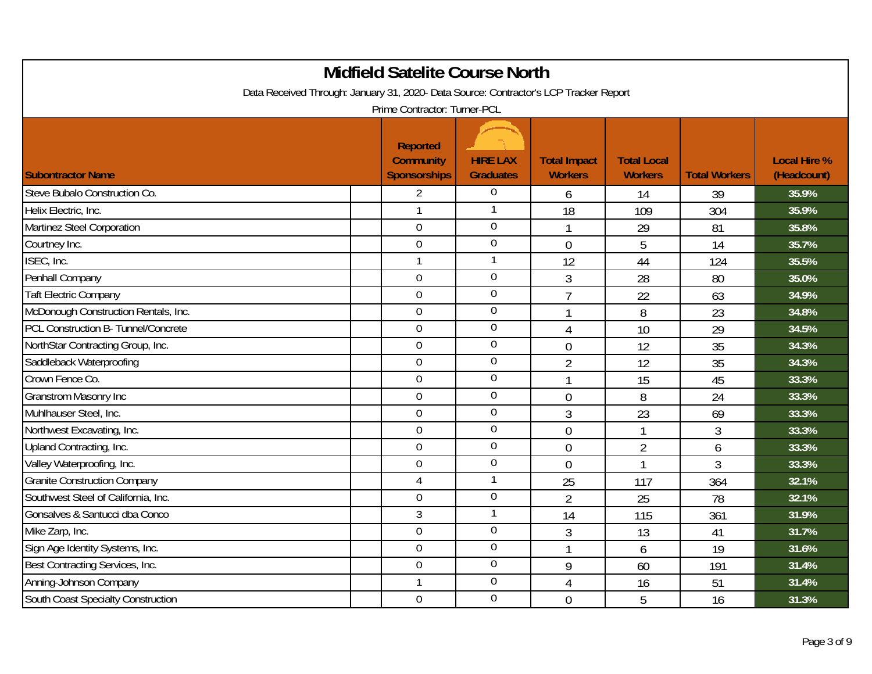|                                                                                       | <b>Midfield Satelite Course North</b>                      |                                     |                                       |                                      |                      |                                    |
|---------------------------------------------------------------------------------------|------------------------------------------------------------|-------------------------------------|---------------------------------------|--------------------------------------|----------------------|------------------------------------|
| Data Received Through: January 31, 2020- Data Source: Contractor's LCP Tracker Report |                                                            |                                     |                                       |                                      |                      |                                    |
|                                                                                       | Prime Contractor: Turner-PCL                               |                                     |                                       |                                      |                      |                                    |
| <b>Subontractor Name</b>                                                              | <b>Reported</b><br><b>Community</b><br><b>Sponsorships</b> | <b>HIRE LAX</b><br><b>Graduates</b> | <b>Total Impact</b><br><b>Workers</b> | <b>Total Local</b><br><b>Workers</b> | <b>Total Workers</b> | <b>Local Hire %</b><br>(Headcount) |
| Steve Bubalo Construction Co.                                                         | $\overline{2}$                                             | $\boldsymbol{0}$                    | 6                                     | 14                                   | 39                   | 35.9%                              |
| Helix Electric, Inc.                                                                  | $\mathbf{1}$                                               | $\mathbf{1}$                        | 18                                    | 109                                  | 304                  | 35.9%                              |
| Martinez Steel Corporation                                                            | $\mathbf 0$                                                | $\overline{0}$                      | 1                                     | 29                                   | 81                   | 35.8%                              |
| Courtney Inc.                                                                         | $\overline{0}$                                             | $\overline{0}$                      | $\mathbf 0$                           | 5                                    | 14                   | 35.7%                              |
| ISEC, Inc.                                                                            | $\mathbf{1}$                                               | 1                                   | 12                                    | 44                                   | 124                  | 35.5%                              |
| Penhall Company                                                                       | $\overline{0}$                                             | $\boldsymbol{0}$                    | 3                                     | 28                                   | 80                   | 35.0%                              |
| <b>Taft Electric Company</b>                                                          | $\overline{0}$                                             | $\boldsymbol{0}$                    | $\overline{7}$                        | 22                                   | 63                   | 34.9%                              |
| McDonough Construction Rentals, Inc.                                                  | $\overline{0}$                                             | $\boldsymbol{0}$                    | 1                                     | 8                                    | 23                   | 34.8%                              |
| PCL Construction B- Tunnel/Concrete                                                   | $\overline{0}$                                             | $\boldsymbol{0}$                    | $\overline{4}$                        | 10                                   | 29                   | 34.5%                              |
| NorthStar Contracting Group, Inc.                                                     | $\overline{0}$                                             | $\overline{0}$                      | $\overline{0}$                        | 12                                   | 35                   | 34.3%                              |
| Saddleback Waterproofing                                                              | $\overline{0}$                                             | $\boldsymbol{0}$                    | $\overline{2}$                        | 12                                   | 35                   | 34.3%                              |
| Crown Fence Co.                                                                       | $\mathbf 0$                                                | $\mathbf 0$                         | $\mathbf{1}$                          | 15                                   | 45                   | 33.3%                              |
| <b>Granstrom Masonry Inc</b>                                                          | $\overline{0}$                                             | $\overline{0}$                      | $\mathbf 0$                           | 8                                    | 24                   | 33.3%                              |
| Muhlhauser Steel, Inc.                                                                | $\boldsymbol{0}$                                           | $\boldsymbol{0}$                    | 3                                     | 23                                   | 69                   | 33.3%                              |
| Northwest Excavating, Inc.                                                            | $\overline{0}$                                             | $\boldsymbol{0}$                    | $\mathbf 0$                           | 1                                    | 3                    | 33.3%                              |
| Upland Contracting, Inc.                                                              | $\mathbf 0$                                                | $\boldsymbol{0}$                    | $\overline{0}$                        | $\overline{2}$                       | 6                    | 33.3%                              |
| Valley Waterproofing, Inc.                                                            | $\overline{0}$                                             | $\mathbf 0$                         | $\overline{0}$                        | 1                                    | 3                    | 33.3%                              |
| <b>Granite Construction Company</b>                                                   | 4                                                          | $\mathbf{1}$                        | 25                                    | 117                                  | 364                  | 32.1%                              |
| Southwest Steel of California, Inc.                                                   | $\mathbf 0$                                                | $\mathbf 0$                         | $\overline{2}$                        | 25                                   | 78                   | 32.1%                              |
| Gonsalves & Santucci dba Conco                                                        | 3                                                          | $\mathbf{1}$                        | 14                                    | 115                                  | 361                  | 31.9%                              |
| Mike Zarp, Inc.                                                                       | $\boldsymbol{0}$                                           | $\overline{0}$                      | 3                                     | 13                                   | 41                   | 31.7%                              |
| Sign Age Identity Systems, Inc.                                                       | $\boldsymbol{0}$                                           | $\overline{0}$                      | 1                                     | 6                                    | 19                   | 31.6%                              |
| Best Contracting Services, Inc.                                                       | $\mathbf 0$                                                | $\boldsymbol{0}$                    | 9                                     | 60                                   | 191                  | 31.4%                              |
| Anning-Johnson Company                                                                | $\mathbf{1}$                                               | $\overline{0}$                      | $\overline{4}$                        | 16                                   | 51                   | 31.4%                              |
| <b>South Coast Specialty Construction</b>                                             | $\mathbf 0$                                                | $\overline{0}$                      | $\overline{0}$                        | 5                                    | 16                   | 31.3%                              |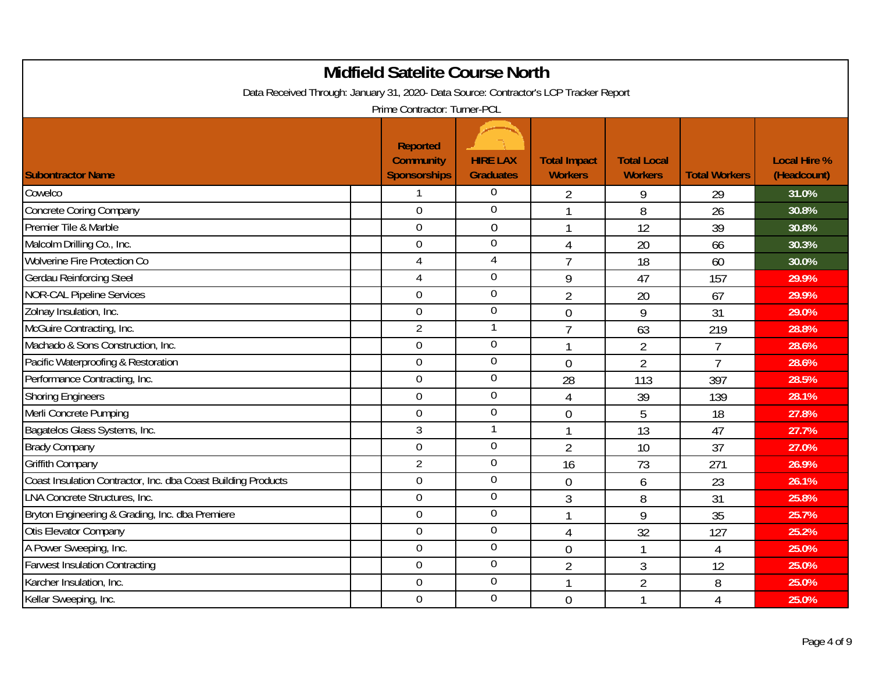|                                                                                       | <b>Midfield Satelite Course North</b>                      |                                     |                                       |                                      |                      |                                    |
|---------------------------------------------------------------------------------------|------------------------------------------------------------|-------------------------------------|---------------------------------------|--------------------------------------|----------------------|------------------------------------|
| Data Received Through: January 31, 2020- Data Source: Contractor's LCP Tracker Report | Prime Contractor: Turner-PCL                               |                                     |                                       |                                      |                      |                                    |
| <b>Subontractor Name</b>                                                              | <b>Reported</b><br><b>Community</b><br><b>Sponsorships</b> | <b>HIRE LAX</b><br><b>Graduates</b> | <b>Total Impact</b><br><b>Workers</b> | <b>Total Local</b><br><b>Workers</b> | <b>Total Workers</b> | <b>Local Hire %</b><br>(Headcount) |
| Cowelco                                                                               | 1                                                          | $\boldsymbol{0}$                    | $\overline{2}$                        | 9                                    | 29                   | 31.0%                              |
| Concrete Coring Company                                                               | $\overline{0}$                                             | $\overline{0}$                      | $\mathbf{1}$                          | 8                                    | 26                   | 30.8%                              |
| Premier Tile & Marble                                                                 | $\overline{0}$                                             | $\mathbf 0$                         | 1                                     | 12                                   | 39                   | 30.8%                              |
| Malcolm Drilling Co., Inc.                                                            | $\mathbf 0$                                                | $\overline{0}$                      | 4                                     | 20                                   | 66                   | 30.3%                              |
| Wolverine Fire Protection Co                                                          | $\overline{4}$                                             | 4                                   | $\overline{7}$                        | 18                                   | 60                   | 30.0%                              |
| <b>Gerdau Reinforcing Steel</b>                                                       | 4                                                          | $\overline{0}$                      | 9                                     | 47                                   | 157                  | 29.9%                              |
| <b>NOR-CAL Pipeline Services</b>                                                      | $\overline{0}$                                             | $\boldsymbol{0}$                    | $\overline{2}$                        | 20                                   | 67                   | 29.9%                              |
| Zolnay Insulation, Inc.                                                               | $\overline{0}$                                             | $\boldsymbol{0}$                    | $\overline{0}$                        | 9                                    | 31                   | 29.0%                              |
| McGuire Contracting, Inc.                                                             | $\overline{2}$                                             | $\mathbf{1}$                        | $\overline{7}$                        | 63                                   | 219                  | 28.8%                              |
| Machado & Sons Construction, Inc.                                                     | $\overline{0}$                                             | $\mathbf 0$                         | $\mathbf{1}$                          | $\overline{2}$                       | $\overline{7}$       | 28.6%                              |
| Pacific Waterproofing & Restoration                                                   | $\boldsymbol{0}$                                           | $\mathbf 0$                         | $\mathbf{0}$                          | $\overline{2}$                       | $\overline{7}$       | 28.6%                              |
| Performance Contracting, Inc.                                                         | $\overline{0}$                                             | $\mathbf 0$                         | 28                                    | 113                                  | 397                  | 28.5%                              |
| <b>Shoring Engineers</b>                                                              | $\overline{0}$                                             | $\overline{0}$                      | $\overline{4}$                        | 39                                   | 139                  | 28.1%                              |
| Merli Concrete Pumping                                                                | $\overline{0}$                                             | $\boldsymbol{0}$                    | $\mathbf 0$                           | 5                                    | 18                   | 27.8%                              |
| Bagatelos Glass Systems, Inc.                                                         | 3                                                          | 1                                   | 1                                     | 13                                   | 47                   | 27.7%                              |
| <b>Brady Company</b>                                                                  | $\overline{0}$                                             | $\mathbf 0$                         | $\overline{2}$                        | 10                                   | 37                   | 27.0%                              |
| Griffith Company                                                                      | $\overline{2}$                                             | $\mathbf 0$                         | 16                                    | 73                                   | 271                  | 26.9%                              |
| Coast Insulation Contractor, Inc. dba Coast Building Products                         | $\overline{0}$                                             | $\boldsymbol{0}$                    | $\mathbf 0$                           | 6                                    | 23                   | 26.1%                              |
| LNA Concrete Structures, Inc.                                                         | $\overline{0}$                                             | $\boldsymbol{0}$                    | 3                                     | 8                                    | 31                   | 25.8%                              |
| Bryton Engineering & Grading, Inc. dba Premiere                                       | $\overline{0}$                                             | $\mathbf 0$                         | 1                                     | 9                                    | 35                   | 25.7%                              |
| Otis Elevator Company                                                                 | $\overline{0}$                                             | $\overline{0}$                      | $\overline{4}$                        | 32                                   | 127                  | 25.2%                              |
| A Power Sweeping, Inc.                                                                | $\boldsymbol{0}$                                           | $\overline{0}$                      | $\overline{0}$                        | $\mathbf{1}$                         | 4                    | 25.0%                              |
| <b>Farwest Insulation Contracting</b>                                                 | $\mathbf 0$                                                | $\boldsymbol{0}$                    | $\overline{2}$                        | 3                                    | 12                   | 25.0%                              |
| Karcher Insulation, Inc.                                                              | $\overline{0}$                                             | $\overline{0}$                      | 1                                     | $\overline{2}$                       | 8                    | 25.0%                              |
| Kellar Sweeping, Inc.                                                                 | $\mathbf 0$                                                | $\overline{0}$                      | $\overline{0}$                        | $\mathbf{1}$                         | 4                    | 25.0%                              |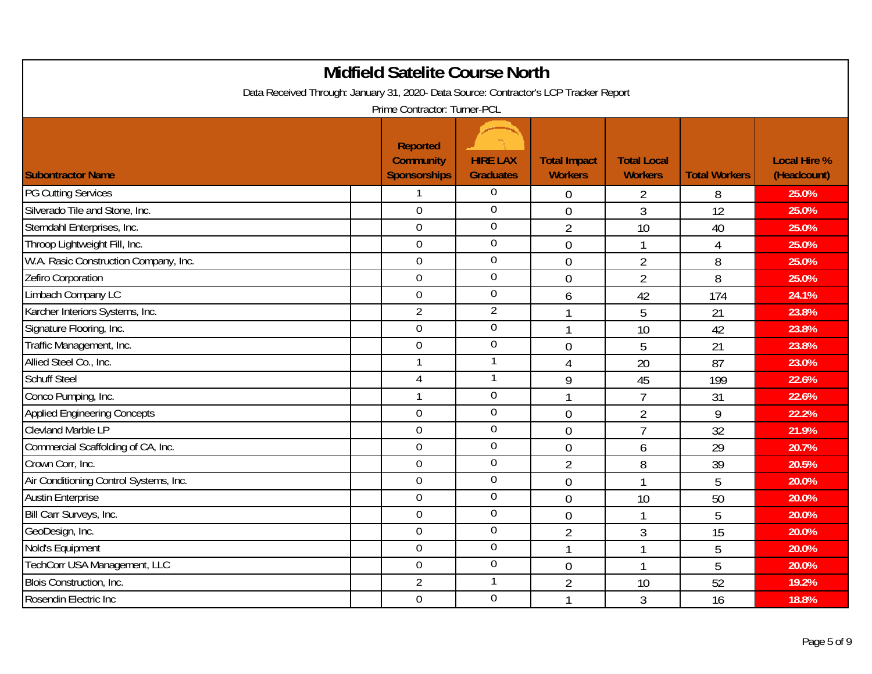|                                                                                       | <b>Midfield Satelite Course North</b>                      |                                     |                                       |                                      |                      |                                    |
|---------------------------------------------------------------------------------------|------------------------------------------------------------|-------------------------------------|---------------------------------------|--------------------------------------|----------------------|------------------------------------|
| Data Received Through: January 31, 2020- Data Source: Contractor's LCP Tracker Report | Prime Contractor: Turner-PCL                               |                                     |                                       |                                      |                      |                                    |
| <b>Subontractor Name</b>                                                              | <b>Reported</b><br><b>Community</b><br><b>Sponsorships</b> | <b>HIRE LAX</b><br><b>Graduates</b> | <b>Total Impact</b><br><b>Workers</b> | <b>Total Local</b><br><b>Workers</b> | <b>Total Workers</b> | <b>Local Hire %</b><br>(Headcount) |
| <b>PG Cutting Services</b>                                                            | 1                                                          | $\boldsymbol{0}$                    | $\mathbf 0$                           | 2                                    | 8                    | 25.0%                              |
| Silverado Tile and Stone, Inc.                                                        | $\overline{0}$                                             | $\overline{0}$                      | $\overline{0}$                        | 3                                    | 12                   | 25.0%                              |
| Sterndahl Enterprises, Inc.                                                           | $\overline{0}$                                             | $\overline{0}$                      | $\overline{2}$                        | 10                                   | 40                   | 25.0%                              |
| Throop Lightweight Fill, Inc.                                                         | $\mathbf 0$                                                | $\overline{0}$                      | $\mathbf 0$                           | $\mathbf{1}$                         | 4                    | 25.0%                              |
| W.A. Rasic Construction Company, Inc.                                                 | $\overline{0}$                                             | $\mathbf 0$                         | $\overline{0}$                        | $\overline{2}$                       | 8                    | 25.0%                              |
| Zefiro Corporation                                                                    | $\overline{0}$                                             | $\overline{0}$                      | $\overline{0}$                        | $\overline{2}$                       | 8                    | 25.0%                              |
| Limbach Company LC                                                                    | $\overline{0}$                                             | $\boldsymbol{0}$                    | 6                                     | 42                                   | 174                  | 24.1%                              |
| Karcher Interiors Systems, Inc.                                                       | $\overline{2}$                                             | $\overline{2}$                      | 1                                     | 5                                    | 21                   | 23.8%                              |
| Signature Flooring, Inc.                                                              | $\overline{0}$                                             | $\mathbf 0$                         | $\mathbf{1}$                          | 10                                   | 42                   | 23.8%                              |
| Traffic Management, Inc.                                                              | $\overline{0}$                                             | $\mathbf 0$                         | $\overline{0}$                        | 5                                    | 21                   | 23.8%                              |
| Allied Steel Co., Inc.                                                                |                                                            |                                     | $\overline{4}$                        | 20                                   | 87                   | 23.0%                              |
| <b>Schuff Steel</b>                                                                   | 4                                                          | 1                                   | 9                                     | 45                                   | 199                  | 22.6%                              |
| Conco Pumping, Inc.                                                                   | $\mathbf{1}$                                               | $\overline{0}$                      | 1                                     | $\overline{7}$                       | 31                   | 22.6%                              |
| Applied Engineering Concepts                                                          | $\overline{0}$                                             | $\boldsymbol{0}$                    | $\mathbf 0$                           | $\overline{2}$                       | 9                    | 22.2%                              |
| <b>Clevland Marble LP</b>                                                             | $\overline{0}$                                             | $\boldsymbol{0}$                    | $\overline{0}$                        | $\overline{7}$                       | 32                   | 21.9%                              |
| Commercial Scaffolding of CA, Inc.                                                    | $\mathbf 0$                                                | $\boldsymbol{0}$                    | $\overline{0}$                        | 6                                    | 29                   | 20.7%                              |
| Crown Corr, Inc.                                                                      | $\theta$                                                   | $\mathbf 0$                         | $\overline{2}$                        | 8                                    | 39                   | 20.5%                              |
| Air Conditioning Control Systems, Inc.                                                | $\mathbf 0$                                                | $\boldsymbol{0}$                    | $\mathbf{0}$                          | $\mathbf{1}$                         | 5                    | 20.0%                              |
| <b>Austin Enterprise</b>                                                              | $\overline{0}$                                             | $\boldsymbol{0}$                    | $\mathbf 0$                           | 10                                   | 50                   | 20.0%                              |
| Bill Carr Surveys, Inc.                                                               | $\overline{0}$                                             | $\mathbf 0$                         | $\overline{0}$                        | $\mathbf{1}$                         | 5                    | 20.0%                              |
| GeoDesign, Inc.                                                                       | $\overline{0}$                                             | $\overline{0}$                      | $\overline{2}$                        | 3                                    | 15                   | 20.0%                              |
| Nold's Equipment                                                                      | $\boldsymbol{0}$                                           | $\overline{0}$                      | 1                                     | $\mathbf{1}$                         | 5                    | 20.0%                              |
| TechCorr USA Management, LLC                                                          | $\mathbf 0$                                                | $\boldsymbol{0}$                    | $\overline{0}$                        | $\mathbf{1}$                         | 5                    | 20.0%                              |
| <b>Blois Construction, Inc.</b>                                                       | $\overline{2}$                                             | 1                                   | $\overline{2}$                        | 10                                   | 52                   | 19.2%                              |
| Rosendin Electric Inc                                                                 | $\mathbf 0$                                                | $\overline{0}$                      | 1                                     | 3                                    | 16                   | 18.8%                              |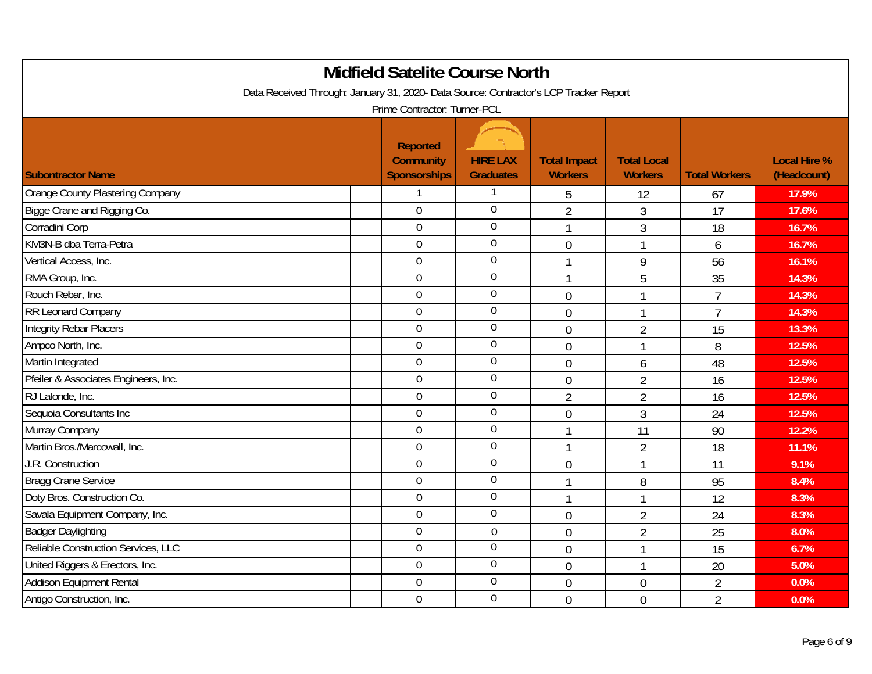|                                      | <b>Midfield Satelite Course North</b>                                                 |                                     |                                       |                                      |                      |                                    |  |  |  |  |
|--------------------------------------|---------------------------------------------------------------------------------------|-------------------------------------|---------------------------------------|--------------------------------------|----------------------|------------------------------------|--|--|--|--|
|                                      | Data Received Through: January 31, 2020- Data Source: Contractor's LCP Tracker Report |                                     |                                       |                                      |                      |                                    |  |  |  |  |
|                                      | Prime Contractor: Turner-PCL                                                          |                                     |                                       |                                      |                      |                                    |  |  |  |  |
| <b>Subontractor Name</b>             | <b>Reported</b><br><b>Community</b><br><b>Sponsorships</b>                            | <b>HIRE LAX</b><br><b>Graduates</b> | <b>Total Impact</b><br><b>Workers</b> | <b>Total Local</b><br><b>Workers</b> | <b>Total Workers</b> | <b>Local Hire %</b><br>(Headcount) |  |  |  |  |
| Orange County Plastering Company     |                                                                                       |                                     | 5                                     | 12                                   | 67                   | 17.9%                              |  |  |  |  |
| Bigge Crane and Rigging Co.          | $\overline{0}$                                                                        | $\overline{0}$                      | $\overline{2}$                        | 3                                    | 17                   | 17.6%                              |  |  |  |  |
| Corradini Corp                       | $\overline{0}$                                                                        | $\overline{0}$                      | 1                                     | $\overline{3}$                       | 18                   | 16.7%                              |  |  |  |  |
| KM3N-B dba Terra-Petra               | $\mathbf 0$                                                                           | $\overline{0}$                      | $\overline{0}$                        | $\mathbf{1}$                         | 6                    | 16.7%                              |  |  |  |  |
| Vertical Access, Inc.                | $\overline{0}$                                                                        | $\mathbf 0$                         | $\mathbf{1}$                          | 9                                    | 56                   | 16.1%                              |  |  |  |  |
| RMA Group, Inc.                      | $\overline{0}$                                                                        | $\overline{0}$                      | 1                                     | 5                                    | 35                   | 14.3%                              |  |  |  |  |
| Rouch Rebar, Inc.                    | $\overline{0}$                                                                        | $\overline{0}$                      | $\mathbf 0$                           | $\mathbf{1}$                         | $\overline{7}$       | 14.3%                              |  |  |  |  |
| <b>RR Leonard Company</b>            | $\overline{0}$                                                                        | $\boldsymbol{0}$                    | $\overline{0}$                        | $\mathbf{1}$                         | $\overline{7}$       | 14.3%                              |  |  |  |  |
| Integrity Rebar Placers              | $\overline{0}$                                                                        | $\mathbf 0$                         | $\overline{0}$                        | $\overline{2}$                       | 15                   | 13.3%                              |  |  |  |  |
| Ampco North, Inc.                    | $\overline{0}$                                                                        | $\mathbf 0$                         | $\overline{0}$                        | $\mathbf{1}$                         | 8                    | 12.5%                              |  |  |  |  |
| Martin Integrated                    | $\boldsymbol{0}$                                                                      | $\mathbf 0$                         | $\overline{0}$                        | 6                                    | 48                   | 12.5%                              |  |  |  |  |
| Pfeiler & Associates Engineers, Inc. | $\overline{0}$                                                                        | $\overline{0}$                      | $\mathbf 0$                           | $\overline{2}$                       | 16                   | 12.5%                              |  |  |  |  |
| RJ Lalonde, Inc.                     | $\overline{0}$                                                                        | $\overline{0}$                      | $\overline{2}$                        | $\overline{2}$                       | 16                   | 12.5%                              |  |  |  |  |
| Sequoia Consultants Inc              | $\boldsymbol{0}$                                                                      | $\boldsymbol{0}$                    | $\mathbf{0}$                          | $\overline{3}$                       | 24                   | 12.5%                              |  |  |  |  |
| Murray Company                       | $\boldsymbol{0}$                                                                      | $\boldsymbol{0}$                    |                                       | 11                                   | 90                   | 12.2%                              |  |  |  |  |
| Martin Bros./Marcowall, Inc.         | $\mathbf 0$                                                                           | $\boldsymbol{0}$                    | $\mathbf{1}$                          | $\overline{2}$                       | 18                   | 11.1%                              |  |  |  |  |
| J.R. Construction                    | $\theta$                                                                              | $\mathbf 0$                         | $\theta$                              | $\mathbf{1}$                         | 11                   | 9.1%                               |  |  |  |  |
| <b>Bragg Crane Service</b>           | $\overline{0}$                                                                        | $\boldsymbol{0}$                    |                                       | 8                                    | 95                   | 8.4%                               |  |  |  |  |
| Doty Bros. Construction Co.          | $\overline{0}$                                                                        | $\boldsymbol{0}$                    | 1                                     | $\mathbf{1}$                         | 12                   | 8.3%                               |  |  |  |  |
| Savala Equipment Company, Inc.       | $\overline{0}$                                                                        | $\mathbf 0$                         | $\overline{0}$                        | $\overline{2}$                       | 24                   | 8.3%                               |  |  |  |  |
| <b>Badger Daylighting</b>            | $\overline{0}$                                                                        | $\boldsymbol{0}$                    | $\mathbf 0$                           | $\overline{2}$                       | 25                   | 8.0%                               |  |  |  |  |
| Reliable Construction Services, LLC  | $\boldsymbol{0}$                                                                      | $\overline{0}$                      | $\overline{0}$                        | $\mathbf{1}$                         | 15                   | 6.7%                               |  |  |  |  |
| United Riggers & Erectors, Inc.      | $\overline{0}$                                                                        | $\boldsymbol{0}$                    | $\overline{0}$                        | $\mathbf{1}$                         | 20                   | 5.0%                               |  |  |  |  |
| <b>Addison Equipment Rental</b>      | $\overline{0}$                                                                        | $\overline{0}$                      | $\overline{0}$                        | $\mathbf 0$                          | $\overline{2}$       | 0.0%                               |  |  |  |  |
| Antigo Construction, Inc.            | $\mathbf 0$                                                                           | $\overline{0}$                      | $\overline{0}$                        | $\overline{0}$                       | $\overline{2}$       | 0.0%                               |  |  |  |  |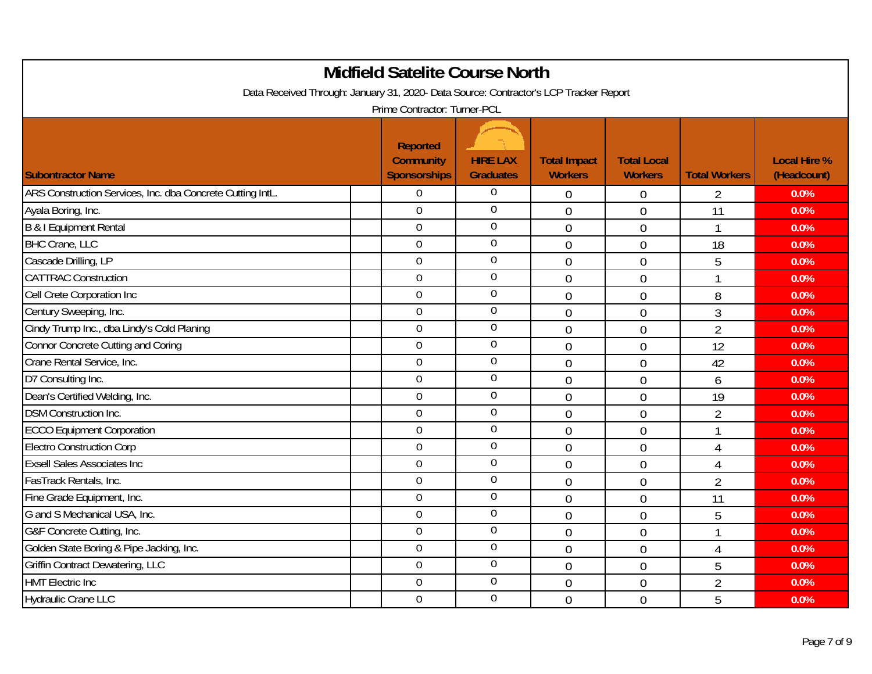| <b>Midfield Satelite Course North</b>                                                                                 |                                         |                                     |                                       |                                      |                      |                                    |  |  |  |
|-----------------------------------------------------------------------------------------------------------------------|-----------------------------------------|-------------------------------------|---------------------------------------|--------------------------------------|----------------------|------------------------------------|--|--|--|
| Data Received Through: January 31, 2020- Data Source: Contractor's LCP Tracker Report<br>Prime Contractor: Turner-PCL |                                         |                                     |                                       |                                      |                      |                                    |  |  |  |
|                                                                                                                       |                                         |                                     |                                       |                                      |                      |                                    |  |  |  |
|                                                                                                                       | <b>Reported</b>                         |                                     |                                       |                                      |                      |                                    |  |  |  |
| <b>Subontractor Name</b>                                                                                              | <b>Community</b><br><b>Sponsorships</b> | <b>HIRE LAX</b><br><b>Graduates</b> | <b>Total Impact</b><br><b>Workers</b> | <b>Total Local</b><br><b>Workers</b> | <b>Total Workers</b> | <b>Local Hire %</b><br>(Headcount) |  |  |  |
| ARS Construction Services, Inc. dba Concrete Cutting IntL.                                                            | 0                                       | $\boldsymbol{0}$                    | $\boldsymbol{0}$                      | 0                                    | 2                    | 0.0%                               |  |  |  |
| Ayala Boring, Inc.                                                                                                    | $\overline{0}$                          | $\overline{0}$                      | $\overline{0}$                        | $\overline{0}$                       | 11                   | 0.0%                               |  |  |  |
| <b>B &amp; I Equipment Rental</b>                                                                                     | $\overline{0}$                          | $\overline{0}$                      | $\overline{0}$                        | $\overline{0}$                       | 1                    | 0.0%                               |  |  |  |
| <b>BHC Crane, LLC</b>                                                                                                 | $\mathbf 0$                             | $\overline{0}$                      | $\mathbf 0$                           | $\mathbf 0$                          | 18                   | 0.0%                               |  |  |  |
| Cascade Drilling, LP                                                                                                  | $\overline{0}$                          | $\mathbf 0$                         | $\overline{0}$                        | $\overline{0}$                       | 5                    | 0.0%                               |  |  |  |
| <b>CATTRAC Construction</b>                                                                                           | $\overline{0}$                          | $\boldsymbol{0}$                    | $\overline{0}$                        | 0                                    | 1                    | 0.0%                               |  |  |  |
| Cell Crete Corporation Inc                                                                                            | $\overline{0}$                          | 0                                   | $\mathbf 0$                           | 0                                    | 8                    | 0.0%                               |  |  |  |
| Century Sweeping, Inc.                                                                                                | $\overline{0}$                          | $\boldsymbol{0}$                    | $\mathbf 0$                           | $\boldsymbol{0}$                     | 3                    | 0.0%                               |  |  |  |
| Cindy Trump Inc., dba Lindy's Cold Planing                                                                            | $\mathbf 0$                             | $\mathbf 0$                         | $\overline{0}$                        | $\mathbf 0$                          | $\overline{2}$       | 0.0%                               |  |  |  |
| <b>Connor Concrete Cutting and Coring</b>                                                                             | $\overline{0}$                          | $\overline{0}$                      | $\overline{0}$                        | 0                                    | 12                   | 0.0%                               |  |  |  |
| Crane Rental Service, Inc.                                                                                            | $\boldsymbol{0}$                        | $\boldsymbol{0}$                    | $\mathbf 0$                           | 0                                    | 42                   | 0.0%                               |  |  |  |
| D7 Consulting Inc.                                                                                                    | $\overline{0}$                          | $\boldsymbol{0}$                    | $\overline{0}$                        | $\overline{0}$                       | 6                    | 0.0%                               |  |  |  |
| Dean's Certified Welding, Inc.                                                                                        | $\mathbf 0$                             | $\boldsymbol{0}$                    | $\overline{0}$                        | $\overline{0}$                       | 19                   | 0.0%                               |  |  |  |
| <b>DSM Construction Inc.</b>                                                                                          | $\overline{0}$                          | $\mathbf 0$                         | $\overline{0}$                        | $\overline{0}$                       | $\overline{2}$       | 0.0%                               |  |  |  |
| <b>ECCO Equipment Corporation</b>                                                                                     | $\boldsymbol{0}$                        | $\boldsymbol{0}$                    | $\mathbf 0$                           | $\mathbf 0$                          |                      | 0.0%                               |  |  |  |
| <b>Electro Construction Corp</b>                                                                                      | $\overline{0}$                          | $\mathbf 0$                         | $\overline{0}$                        | $\overline{0}$                       | $\overline{4}$       | 0.0%                               |  |  |  |
| <b>Exsell Sales Associates Inc</b>                                                                                    | $\overline{0}$                          | $\mathbf 0$                         | $\overline{0}$                        | 0                                    | 4                    | 0.0%                               |  |  |  |
| FasTrack Rentals, Inc.                                                                                                | $\overline{0}$                          | $\mathbf 0$                         | $\overline{0}$                        | 0                                    | $\overline{2}$       | 0.0%                               |  |  |  |
| Fine Grade Equipment, Inc.                                                                                            | $\boldsymbol{0}$                        | $\mathbf 0$                         | $\overline{0}$                        | $\mathbf 0$                          | 11                   | 0.0%                               |  |  |  |
| G and S Mechanical USA, Inc.                                                                                          | $\overline{0}$                          | $\boldsymbol{0}$                    | $\overline{0}$                        | $\overline{0}$                       | 5                    | 0.0%                               |  |  |  |
| G&F Concrete Cutting, Inc.                                                                                            | $\mathbf 0$                             | $\overline{0}$                      | $\overline{0}$                        | 0                                    |                      | 0.0%                               |  |  |  |
| Golden State Boring & Pipe Jacking, Inc.                                                                              | $\mathbf 0$                             | $\boldsymbol{0}$                    | $\overline{0}$                        | $\overline{0}$                       | $\overline{4}$       | 0.0%                               |  |  |  |
| <b>Griffin Contract Dewatering, LLC</b>                                                                               | $\mathbf 0$                             | $\boldsymbol{0}$                    | $\overline{0}$                        | $\mathbf 0$                          | 5                    | 0.0%                               |  |  |  |
| <b>HMT Electric Inc</b>                                                                                               | $\overline{0}$                          | $\overline{0}$                      | $\overline{0}$                        | 0                                    | $\overline{2}$       | 0.0%                               |  |  |  |
| <b>Hydraulic Crane LLC</b>                                                                                            | $\overline{0}$                          | $\overline{0}$                      | $\overline{0}$                        | 0                                    | 5                    | 0.0%                               |  |  |  |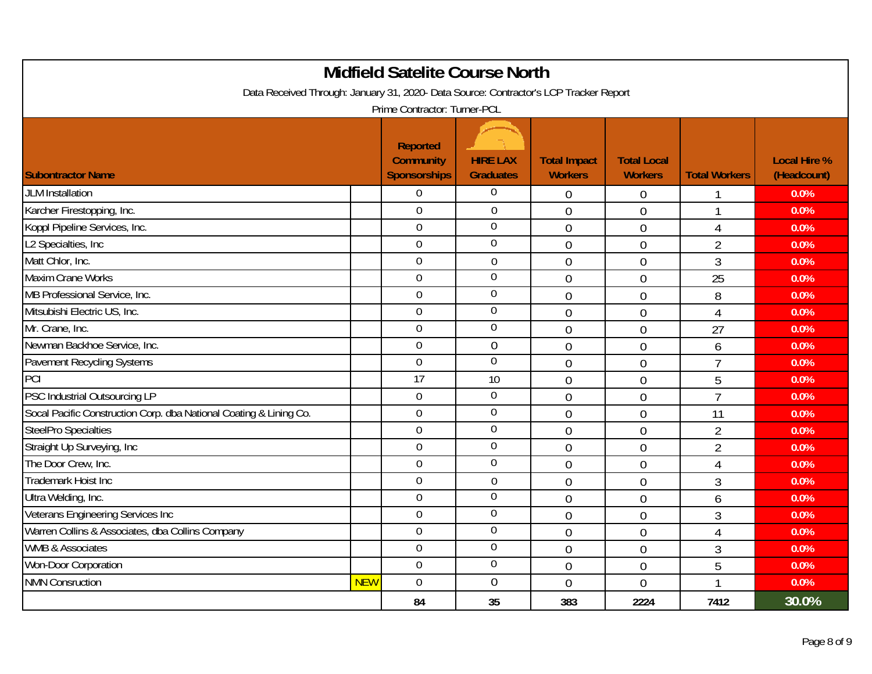|                                                                                       |            | <b>Midfield Satelite Course North</b>                      |                                     |                                       |                                      |                      |                                    |
|---------------------------------------------------------------------------------------|------------|------------------------------------------------------------|-------------------------------------|---------------------------------------|--------------------------------------|----------------------|------------------------------------|
| Data Received Through: January 31, 2020- Data Source: Contractor's LCP Tracker Report |            | Prime Contractor: Turner-PCL                               |                                     |                                       |                                      |                      |                                    |
| <b>Subontractor Name</b>                                                              |            | <b>Reported</b><br><b>Community</b><br><b>Sponsorships</b> | <b>HIRE LAX</b><br><b>Graduates</b> | <b>Total Impact</b><br><b>Workers</b> | <b>Total Local</b><br><b>Workers</b> | <b>Total Workers</b> | <b>Local Hire %</b><br>(Headcount) |
| <b>JLM</b> Installation                                                               |            | $\Omega$                                                   | $\boldsymbol{0}$                    | $\mathbf 0$                           | $\boldsymbol{0}$                     |                      | 0.0%                               |
| Karcher Firestopping, Inc.                                                            |            | $\overline{0}$                                             | $\mathbf 0$                         | $\overline{0}$                        | $\overline{0}$                       | $\mathbf{1}$         | 0.0%                               |
| Koppl Pipeline Services, Inc.                                                         |            | $\Omega$                                                   | $\overline{0}$                      | $\mathbf 0$                           | $\overline{0}$                       | $\overline{4}$       | 0.0%                               |
| L2 Specialties, Inc.                                                                  |            | $\overline{0}$                                             | $\overline{0}$                      | $\mathbf 0$                           | $\boldsymbol{0}$                     | $\overline{2}$       | 0.0%                               |
| Matt Chlor, Inc.                                                                      |            | $\overline{0}$                                             | $\mathbf 0$                         | $\overline{0}$                        | $\overline{0}$                       | $\mathfrak{Z}$       | 0.0%                               |
| Maxim Crane Works                                                                     |            | $\Omega$                                                   | $\mathbf 0$                         | $\mathbf 0$                           | $\mathbf 0$                          | 25                   | 0.0%                               |
| MB Professional Service, Inc.                                                         |            | $\overline{0}$                                             | $\boldsymbol{0}$                    | $\overline{0}$                        | $\boldsymbol{0}$                     | 8                    | 0.0%                               |
| Mitsubishi Electric US, Inc.                                                          |            | $\overline{0}$                                             | $\mathbf 0$                         | $\overline{0}$                        | $\overline{0}$                       | 4                    | 0.0%                               |
| Mr. Crane, Inc.                                                                       |            | $\overline{0}$                                             | $\boldsymbol{0}$                    | $\overline{0}$                        | $\overline{0}$                       | 27                   | 0.0%                               |
| Newman Backhoe Service, Inc.                                                          |            | $\overline{0}$                                             | $\overline{0}$                      | $\overline{0}$                        | $\overline{0}$                       | 6                    | 0.0%                               |
| Pavement Recycling Systems                                                            |            | $\mathbf 0$                                                | $\overline{0}$                      | $\mathbf 0$                           | $\overline{0}$                       | $\overline{7}$       | 0.0%                               |
| PCI                                                                                   |            | 17                                                         | 10                                  | $\Omega$                              | $\overline{0}$                       | 5                    | 0.0%                               |
| PSC Industrial Outsourcing LP                                                         |            | $\mathbf 0$                                                | $\boldsymbol{0}$                    | $\overline{0}$                        | $\overline{0}$                       | $\overline{7}$       | 0.0%                               |
| Socal Pacific Construction Corp. dba National Coating & Lining Co.                    |            | $\overline{0}$                                             | $\overline{0}$                      | $\mathbf 0$                           | $\boldsymbol{0}$                     | 11                   | 0.0%                               |
| <b>SteelPro Specialties</b>                                                           |            | $\overline{0}$                                             | $\boldsymbol{0}$                    | $\overline{0}$                        | $\boldsymbol{0}$                     | $\overline{2}$       | 0.0%                               |
| Straight Up Surveying, Inc                                                            |            | $\overline{0}$                                             | $\mathbf 0$                         | $\theta$                              | $\mathbf 0$                          | $\overline{2}$       | 0.0%                               |
| The Door Crew, Inc.                                                                   |            | $\Omega$                                                   | $\boldsymbol{0}$                    | $\theta$                              | $\mathbf 0$                          | 4                    | 0.0%                               |
| Trademark Hoist Inc                                                                   |            | $\overline{0}$                                             | $\mathbf 0$                         | $\overline{0}$                        | $\overline{0}$                       | 3                    | 0.0%                               |
| Ultra Welding, Inc.                                                                   |            | $\overline{0}$                                             | $\boldsymbol{0}$                    | $\overline{0}$                        | $\overline{0}$                       | 6                    | 0.0%                               |
| Veterans Engineering Services Inc                                                     |            | $\mathbf 0$                                                | $\boldsymbol{0}$                    | $\mathbf 0$                           | $\overline{0}$                       | $\mathfrak{Z}$       | 0.0%                               |
| Warren Collins & Associates, dba Collins Company                                      |            | $\overline{0}$                                             | $\boldsymbol{0}$                    | $\overline{0}$                        | $\mathbf 0$                          | 4                    | 0.0%                               |
| <b>WMB &amp; Associates</b>                                                           |            | $\boldsymbol{0}$                                           | $\boldsymbol{0}$                    | $\mathbf 0$                           | $\overline{0}$                       | $\mathfrak{Z}$       | 0.0%                               |
| Won-Door Corporation                                                                  |            | $\overline{0}$                                             | $\boldsymbol{0}$                    | $\mathbf 0$                           | $\overline{0}$                       | 5                    | 0.0%                               |
| <b>NMN Consruction</b>                                                                | <b>NEW</b> | $\mathbf 0$                                                | $\mathbf 0$                         | $\overline{0}$                        | $\overline{0}$                       | 1                    | 0.0%                               |
|                                                                                       |            | 84                                                         | 35                                  | 383                                   | 2224                                 | 7412                 | 30.0%                              |